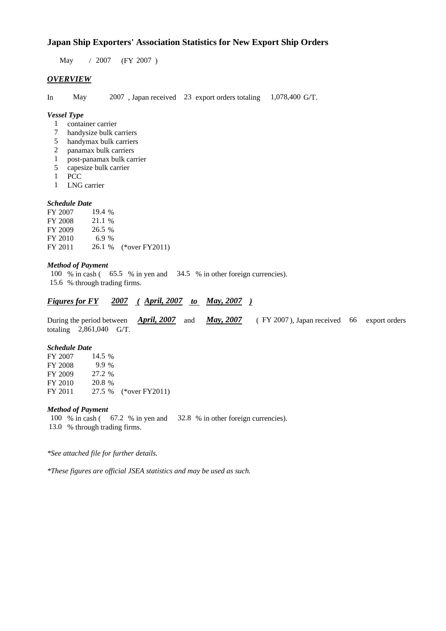### **Japan Ship Exporters' Association Statistics for New Export Ship Orders**

 $/ 2007$  (FY 2007) May / 2007

## *OVERVIEW*

In May 2007, Japan received 23 export orders totaling 1,078,400 G/T.

#### *Vessel Type*

- container carrier 1
- handysize bulk carriers 7
- handymax bulk carriers 5
- panamax bulk carriers 2
- post-panamax bulk carrier 1
- capesize bulk carrier 5
- **PCC** 1
- LNG carrier 1

#### *Schedule Date*

| FY 2007 | 19.4 $%$ |                       |
|---------|----------|-----------------------|
| FY 2008 | 21.1 %   |                       |
| FY 2009 | 26.5 %   |                       |
| FY 2010 | 6.9%     |                       |
| FY 2011 |          | 26.1 % (*over FY2011) |

#### *Method of Payment*

100 % in cash (65.5 % in yen and 34.5 % in other foreign currencies). % through trading firms. 15.6

### *Figures for FY* 2007 (April, 2007 *to May, 2007*)

During the period between *April, 2007* and *May, 2007* (FY 2007), Japan received 66 export orders totaling  $2,861,040$  G/T. *April, 2007 May, 2007*

#### *Schedule Date*

| FY 2007 | 14.5 %  |                       |
|---------|---------|-----------------------|
| FY 2008 | $9.9\%$ |                       |
| FY 2009 | 27.2 %  |                       |
| FY 2010 | 20.8 %  |                       |
| FY 2011 |         | 27.5 % (*over FY2011) |

#### *Method of Payment*

100 % in cash (67.2 % in yen and 32.8 % in other foreign currencies). 13.0 % through trading firms.

*\*See attached file for further details.*

*\*These figures are official JSEA statistics and may be used as such.*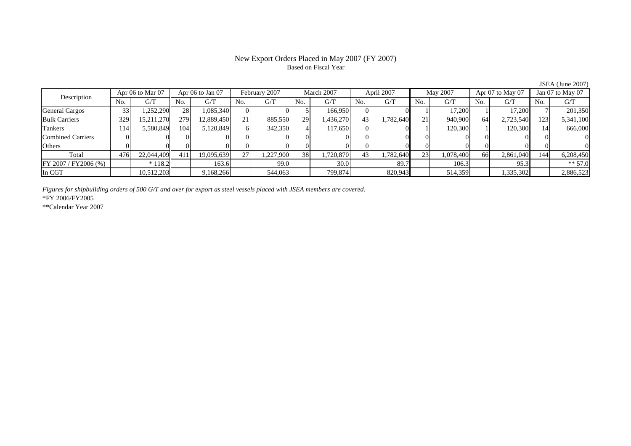#### New Export Orders Placed in May 2007 (FY 2007) Based on Fiscal Year

No. G/T No. G/T No. G/T No. G/T No. G/T No. G/T No. G/T No. G/TGeneral Cargos ( 33 1,252,290 28 1,085,340 0 0 5 166,950 0 0 1 1 17,200 1 17,200 7 201,350 Bulk Carriers 329 15,211,270 279 12,889,450 21 885,550 29 1,436,270 43 1,782,640 21 940,900 64 2,723,540 123 5,341,100 Tankers | 114 5,580,849 104 5,120,849 6 342,350 4 117,650 0 0 1 120,300 1 120,300 14 666,000 Combined Carriers 0 0 0 0 0 0 0 0 0 0 0 0 0 0 0 0Others 0 0 0 0 0 0 0 0 0 0 0 0 0 0 0 0 $\mathbf{0}$ Total 476 22,044,409 411 19,095,639 27 1,227,900 38 1,720,870 43 1,782,640 23 1,078,400 66 2,861,040 144 6,208,450  $\boxed{\text{FY 2007/FY2006 } (\%) }$  \* 118.2 163.6 99.0 30.0 89.7 106.3 95.3 \* 57.0 In CGT | | 10,512,203| | 9,168,266| | 544,063| | 799,874| | 820,943| | 514,359| | 1,335,302|| | 2,886,523 Apr 06 to Mar 07 Apr 06 to Jan 07 February 2007 March 2007 April 2007 May 2007 Apr 07 to May 07 Jan 07 to May 07 Description

*Figures for shipbuilding orders of 500 G/T and over for export as steel vessels placed with JSEA members are covered.*

\*FY 2006/FY2005

\*\*Calendar Year 2007

JSEA (June 2007)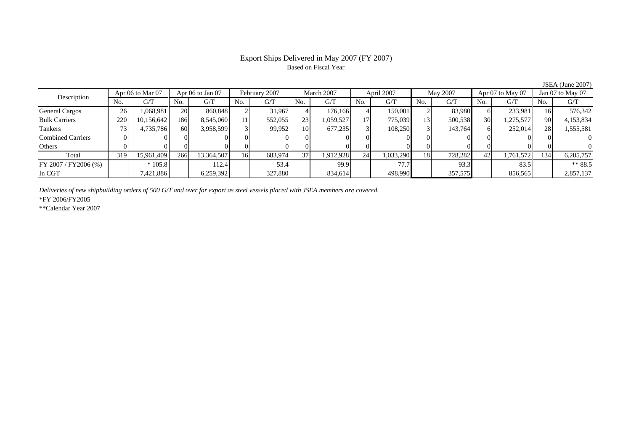# Based on Fiscal Year

No. I G/T II No. I G/T II No. I G/T II No. I G/T G/T II No. I G/T II No. I G/T II No. I G/T II No. I G/T II No  $G/T$ General Cargos 26 1,068,981 20 860,848 2 31,967 4 176,166 4 150,001 2 83,980 6 233,981 16 576,342 Bulk Carriers 220 10,156,642 186 8,545,060 11 552,055 23 1,059,527 17 775,039 13 500,538 30 1,275,577 90 4,153,834 Tankers | 73 | 4,735,786|| 60 | 3,958,599 | 3 | 99,952 | 10 | 677,235 | 3 | 108,250 | 3 | 143,764 | 6 | 252,014|| 28 | 1,555,581 Combined Carriers 0 0 0 0 0 0 0 0 0 0 0 0 0 0 0 0Others | 0 | 0 | 0 | 0 | 0 | 0 | 0 | 0 | 0 | 0 | 0 | 0 Total 319 15,961,409 266 13,364,507 16 683,974 37 1,912,928 24 1,033,290 18 728,282 42 1,761,572 134 6,285,757 FY 2007 / FY2006 (%) | \* 105.8 | 112.4 | 53.4 | 99.9 | 77.7 | 93.3 | 83.5 | \*\* 88.5 In CGT | | 7,421,886|| | 6,259,392| | 327,880| | 834,614| | 498,990| | 357,575| | 856,565|| | 2,857,137 Description Apr 06 to Mar 07 Apr 06 to Jan 07 February 2007 March 2007 April 2007 May 2007 Apr 07 to May 07 Jan 07 to May 07

*Deliveries of new shipbuilding orders of 500 G/T and over for export as steel vessels placed with JSEA members are covered.*

\*FY 2006/FY2005

\*\*Calendar Year 2007

JSEA (June 2007)

# Export Ships Delivered in May 2007 (FY 2007)